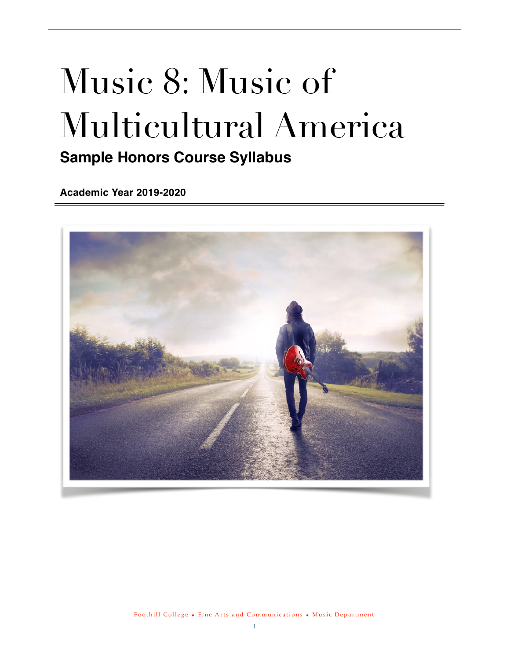# Music 8: Music of Multicultural America **Sample Honors Course Syllabus**

**Academic Year 2019-2020**

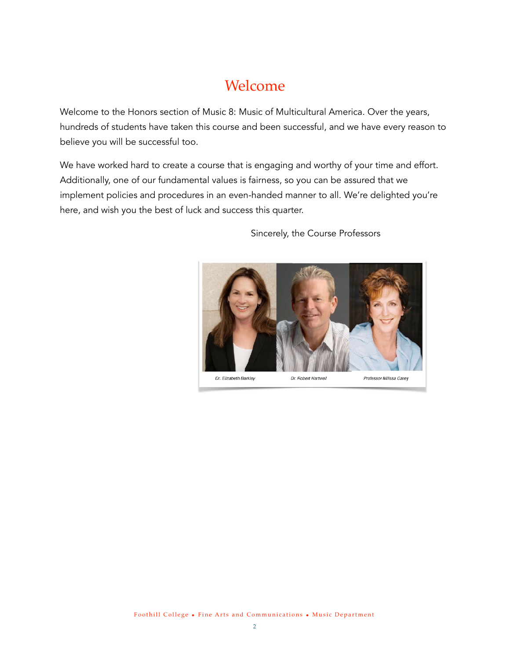# <span id="page-1-0"></span>Welcome

Welcome to the Honors section of Music 8: Music of Multicultural America. Over the years, hundreds of students have taken this course and been successful, and we have every reason to believe you will be successful too.

We have worked hard to create a course that is engaging and worthy of your time and effort. Additionally, one of our fundamental values is fairness, so you can be assured that we implement policies and procedures in an even-handed manner to all. We're delighted you're here, and wish you the best of luck and success this quarter.



Sincerely, the Course Professors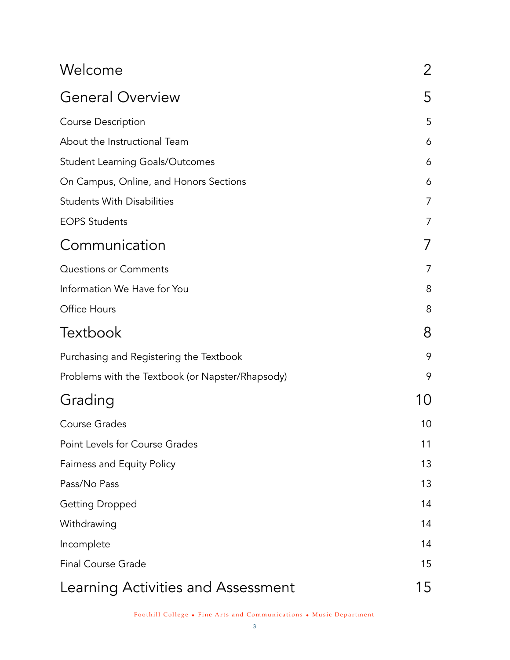| Welcome                                          | 2  |
|--------------------------------------------------|----|
| <b>General Overview</b>                          | 5  |
| <b>Course Description</b>                        | 5  |
| About the Instructional Team                     | 6  |
| <b>Student Learning Goals/Outcomes</b>           | 6  |
| On Campus, Online, and Honors Sections           | 6  |
| <b>Students With Disabilities</b>                | 7  |
| <b>EOPS Students</b>                             | 7  |
| Communication                                    |    |
| <b>Questions or Comments</b>                     | 7  |
| Information We Have for You                      | 8  |
| Office Hours                                     | 8  |
| <b>Textbook</b>                                  | 8  |
| Purchasing and Registering the Textbook          | 9  |
| Problems with the Textbook (or Napster/Rhapsody) | 9  |
| Grading                                          | 10 |
| <b>Course Grades</b>                             | 10 |
| Point Levels for Course Grades                   | 11 |
| Fairness and Equity Policy                       | 13 |
| Pass/No Pass                                     | 13 |
| <b>Getting Dropped</b>                           | 14 |
| Withdrawing                                      | 14 |
| Incomplete                                       | 14 |
| <b>Final Course Grade</b>                        | 15 |
| Learning Activities and Assessment               | 15 |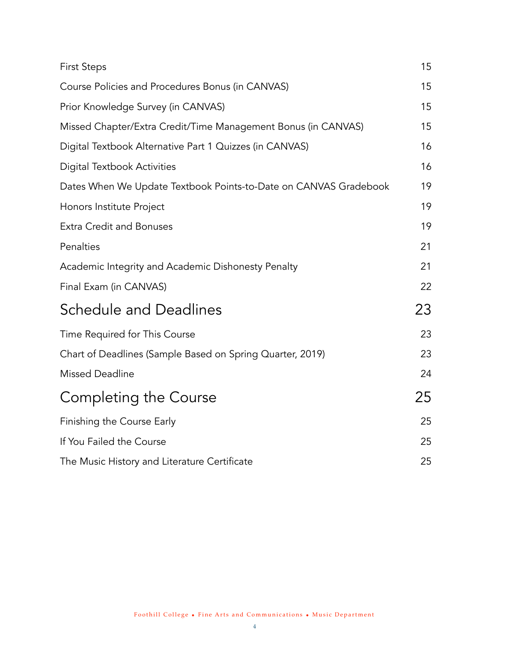| <b>First Steps</b>                                               | 15 |
|------------------------------------------------------------------|----|
| Course Policies and Procedures Bonus (in CANVAS)                 | 15 |
| Prior Knowledge Survey (in CANVAS)                               | 15 |
| Missed Chapter/Extra Credit/Time Management Bonus (in CANVAS)    | 15 |
| Digital Textbook Alternative Part 1 Quizzes (in CANVAS)          | 16 |
| <b>Digital Textbook Activities</b>                               | 16 |
| Dates When We Update Textbook Points-to-Date on CANVAS Gradebook | 19 |
| Honors Institute Project                                         | 19 |
| <b>Extra Credit and Bonuses</b>                                  | 19 |
| Penalties                                                        | 21 |
| Academic Integrity and Academic Dishonesty Penalty               | 21 |
| Final Exam (in CANVAS)                                           | 22 |
| <b>Schedule and Deadlines</b>                                    | 23 |
| Time Required for This Course                                    | 23 |
| Chart of Deadlines (Sample Based on Spring Quarter, 2019)        | 23 |
| <b>Missed Deadline</b>                                           | 24 |
| Completing the Course                                            | 25 |
| Finishing the Course Early                                       | 25 |
| If You Failed the Course                                         | 25 |
| The Music History and Literature Certificate                     | 25 |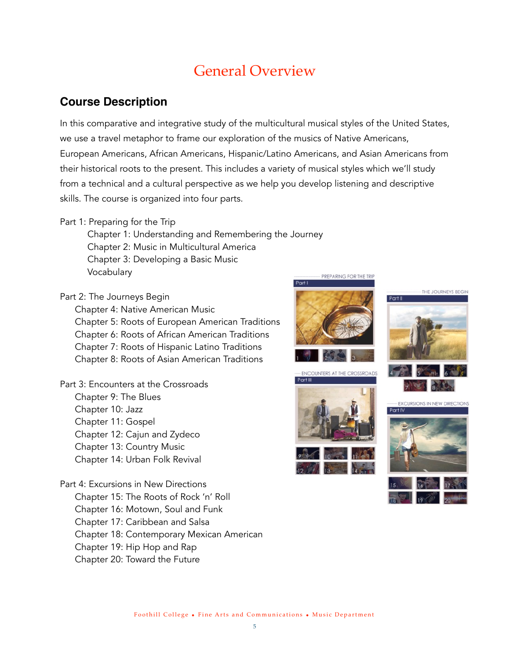# <span id="page-4-0"></span>General Overview

#### <span id="page-4-1"></span>**Course Description**

In this comparative and integrative study of the multicultural musical styles of the United States, we use a travel metaphor to frame our exploration of the musics of Native Americans, European Americans, African Americans, Hispanic/Latino Americans, and Asian Americans from their historical roots to the present. This includes a variety of musical styles which we'll study from a technical and a cultural perspective as we help you develop listening and descriptive skills. The course is organized into four parts.

Part 1: Preparing for the Trip

Chapter 1: Understanding and Remembering the Journey Chapter 2: Music in Multicultural America Chapter 3: Developing a Basic Music Vocabulary PREPARING FOR THE TRIP

Part 2: The Journeys Begin

Chapter 4: Native American Music Chapter 5: Roots of European American Traditions Chapter 6: Roots of African American Traditions Chapter 7: Roots of Hispanic Latino Traditions Chapter 8: Roots of Asian American Traditions

Part 3: Encounters at the Crossroads Chapter 9: The Blues Chapter 10: Jazz Chapter 11: Gospel Chapter 12: Cajun and Zydeco Chapter 13: Country Music Chapter 14: Urban Folk Revival

Part 4: Excursions in New Directions Chapter 15: The Roots of Rock 'n' Roll Chapter 16: Motown, Soul and Funk Chapter 17: Caribbean and Salsa Chapter 18: Contemporary Mexican American Chapter 19: Hip Hop and Rap Chapter 20: Toward the Future













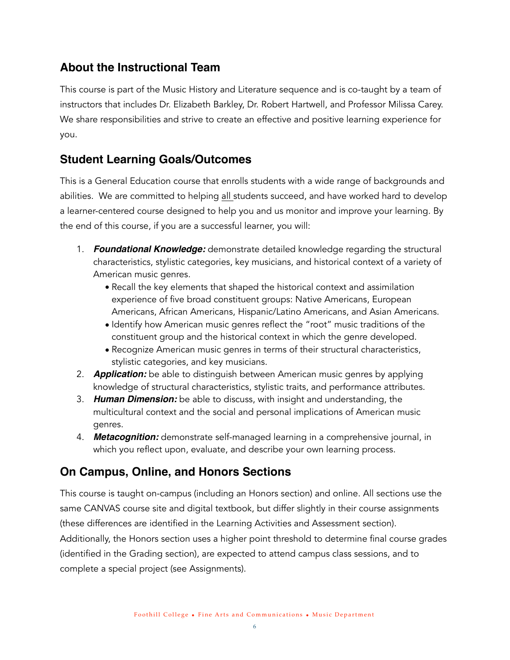## <span id="page-5-0"></span>**About the Instructional Team**

This course is part of the Music History and Literature sequence and is co-taught by a team of instructors that includes Dr. Elizabeth Barkley, Dr. Robert Hartwell, and Professor Milissa Carey. We share responsibilities and strive to create an effective and positive learning experience for you.

## <span id="page-5-1"></span>**Student Learning Goals/Outcomes**

This is a General Education course that enrolls students with a wide range of backgrounds and abilities. We are committed to helping all students succeed, and have worked hard to develop a learner-centered course designed to help you and us monitor and improve your learning. By the end of this course, if you are a successful learner, you will:

- 1. *Foundational Knowledge:* demonstrate detailed knowledge regarding the structural characteristics, stylistic categories, key musicians, and historical context of a variety of American music genres.
	- Recall the key elements that shaped the historical context and assimilation experience of five broad constituent groups: Native Americans, European Americans, African Americans, Hispanic/Latino Americans, and Asian Americans.
	- Identify how American music genres reflect the "root" music traditions of the constituent group and the historical context in which the genre developed.
	- Recognize American music genres in terms of their structural characteristics, stylistic categories, and key musicians.
- 2. *Application:* be able to distinguish between American music genres by applying knowledge of structural characteristics, stylistic traits, and performance attributes.
- 3. *Human Dimension:* be able to discuss, with insight and understanding, the multicultural context and the social and personal implications of American music genres.
- 4. *Metacognition:* demonstrate self-managed learning in a comprehensive journal, in which you reflect upon, evaluate, and describe your own learning process.

# <span id="page-5-2"></span>**On Campus, Online, and Honors Sections**

This course is taught on-campus (including an Honors section) and online. All sections use the same CANVAS course site and digital textbook, but differ slightly in their course assignments (these differences are identified in the Learning Activities and Assessment section). Additionally, the Honors section uses a higher point threshold to determine final course grades (identified in the Grading section), are expected to attend campus class sessions, and to complete a special project (see Assignments).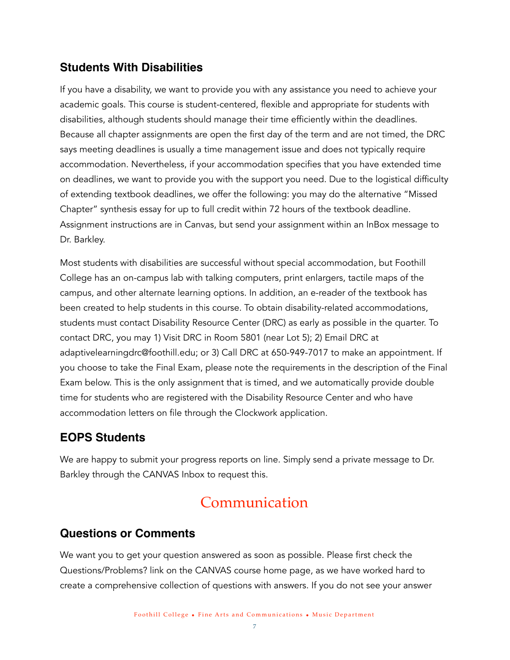#### <span id="page-6-0"></span>**Students With Disabilities**

If you have a disability, we want to provide you with any assistance you need to achieve your academic goals. This course is student-centered, flexible and appropriate for students with disabilities, although students should manage their time efficiently within the deadlines. Because all chapter assignments are open the first day of the term and are not timed, the DRC says meeting deadlines is usually a time management issue and does not typically require accommodation. Nevertheless, if your accommodation specifies that you have extended time on deadlines, we want to provide you with the support you need. Due to the logistical difficulty of extending textbook deadlines, we offer the following: you may do the alternative "Missed Chapter" synthesis essay for up to full credit within 72 hours of the textbook deadline. Assignment instructions are in Canvas, but send your assignment within an InBox message to Dr. Barkley.

Most students with disabilities are successful without special accommodation, but Foothill College has an on-campus lab with talking computers, print enlargers, tactile maps of the campus, and other alternate learning options. In addition, an e-reader of the textbook has been created to help students in this course. To obtain disability-related accommodations, students must contact Disability Resource Center (DRC) as early as possible in the quarter. To contact DRC, you may 1) Visit DRC in Room 5801 (near Lot 5); 2) Email DRC at [adaptivelearningdrc@foothill.edu;](mailto:adaptivelearningdrc@foothill.edu) or 3) Call DRC at 650-949-7017 to make an appointment. If you choose to take the Final Exam, please note the requirements in the description of the Final Exam below. This is the only assignment that is timed, and we automatically provide double time for students who are registered with the Disability Resource Center and who have accommodation letters on file through the Clockwork application.

#### <span id="page-6-1"></span>**EOPS Students**

We are happy to submit your progress reports on line. Simply send a private message to Dr. Barkley through the CANVAS Inbox to request this.

# <span id="page-6-2"></span>Communication

#### <span id="page-6-3"></span>**Questions or Comments**

We want you to get your question answered as soon as possible. Please first check the Questions/Problems? link on the CANVAS course home page, as we have worked hard to create a comprehensive collection of questions with answers. If you do not see your answer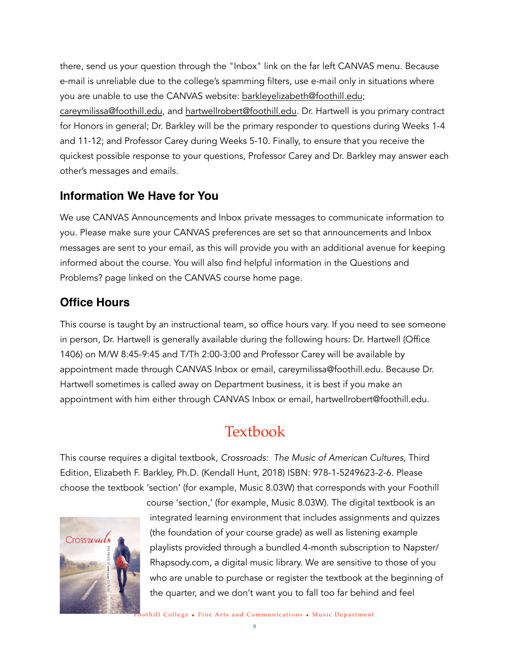there, send us your question through the "Inbox" link on the far left CANVAS menu. Because e-mail is unreliable due to the college's spamming filters, use e-mail only in situations where you are unable to use the CANVAS website: [barkleyelizabeth@foothill.edu](mailto:barkleyelizabeth@foothill.edu); [careymilissa@foothill.edu](mailto:careymilissa@foothill.edu), and [hartwellrobert@foothill.edu](mailto:hartwellrobert@foothill.edu). Dr. Hartwell is you primary contract for Honors in general; Dr. Barkley will be the primary responder to questions during Weeks 1-4 and 11-12; and Professor Carey during Weeks 5-10. Finally, to ensure that you receive the quickest possible response to your questions, Professor Carey and Dr. Barkley may answer each other's messages and emails.

#### <span id="page-7-0"></span>**Information We Have for You**

We use CANVAS Announcements and Inbox private messages to communicate information to you. Please make sure your CANVAS preferences are set so that announcements and Inbox messages are sent to your email, as this will provide you with an additional avenue for keeping informed about the course. You will also find helpful information in the Questions and Problems? page linked on the CANVAS course home page.

#### <span id="page-7-1"></span>**Office Hours**

This course is taught by an instructional team, so office hours vary. If you need to see someone in person, Dr. Hartwell is generally available during the following hours: Dr. Hartwell (Office 1406) on M/W 8:45-9:45 and T/Th 2:00-3:00 and Professor Carey will be available by appointment made through CANVAS Inbox or email, careymilissa@foothill.edu. Because Dr. Hartwell sometimes is called away on Department business, it is best if you make an appointment with him either through CANVAS Inbox or email, hartwellrobert@foothill.edu.

# <span id="page-7-2"></span>Textbook

This course requires a digital textbook, *Crossroads: The Music of American Cultures*, Third Edition, Elizabeth F. Barkley, Ph.D. (Kendall Hunt, 2018) ISBN: 978-1-5249623-2-6. Please choose the textbook 'section' (for example, Music 8.03W) that corresponds with your Foothill



course 'section,' (for example, Music 8.03W). The digital textbook is an integrated learning environment that includes assignments and quizzes (the foundation of your course grade) as well as listening example playlists provided through a bundled 4-month subscription to Napster/ Rhapsody.com, a digital music library. We are sensitive to those of you who are unable to purchase or register the textbook at the beginning of the quarter, and we don't want you to fall too far behind and feel

Foothill College • Fine Arts and Communications • Music Department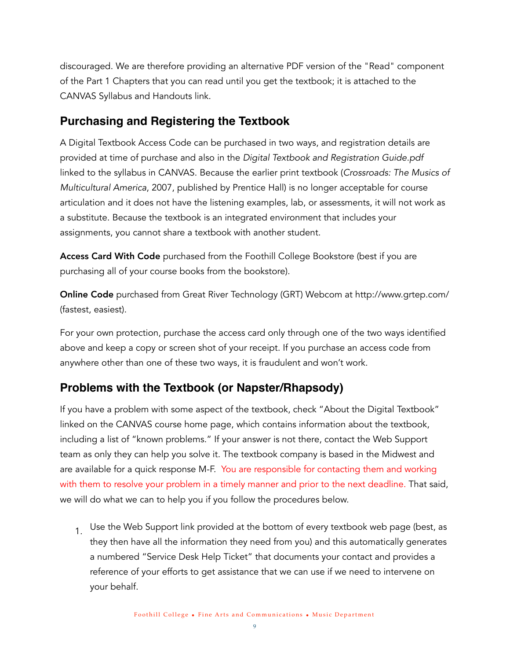discouraged. We are therefore providing an alternative PDF version of the "Read" component of the Part 1 Chapters that you can read until you get the textbook; it is attached to the CANVAS Syllabus and Handouts link.

#### <span id="page-8-0"></span>**Purchasing and Registering the Textbook**

A Digital Textbook Access Code can be purchased in two ways, and registration details are provided at time of purchase and also in the *Digital Textbook and Registration Guide.pdf* linked to the syllabus in CANVAS. Because the earlier print textbook (*Crossroads: The Musics of Multicultural America*, 2007, published by Prentice Hall) is no longer acceptable for course articulation and it does not have the listening examples, lab, or assessments, it will not work as a substitute. Because the textbook is an integrated environment that includes your assignments, you cannot share a textbook with another student.

Access Card With Code purchased from the Foothill College Bookstore (best if you are purchasing all of your course books from the bookstore).

Online Code purchased from Great River Technology (GRT) Webcom at <http://www.grtep.com>/ (fastest, easiest).

For your own protection, purchase the access card only through one of the two ways identified above and keep a copy or screen shot of your receipt. If you purchase an access code from anywhere other than one of these two ways, it is fraudulent and won't work.

# <span id="page-8-1"></span>**Problems with the Textbook (or Napster/Rhapsody)**

If you have a problem with some aspect of the textbook, check "About the Digital Textbook" linked on the CANVAS course home page, which contains information about the textbook, including a list of "known problems." If your answer is not there, contact the Web Support team as only they can help you solve it. The textbook company is based in the Midwest and are available for a quick response M-F. You are responsible for contacting them and working with them to resolve your problem in a timely manner and prior to the next deadline. That said, we will do what we can to help you if you follow the procedures below.

 $1.$  Use the Web Support link provided at the bottom of every textbook web page (best, as they then have all the information they need from you) and this automatically generates a numbered "Service Desk Help Ticket" that documents your contact and provides a reference of your efforts to get assistance that we can use if we need to intervene on your behalf.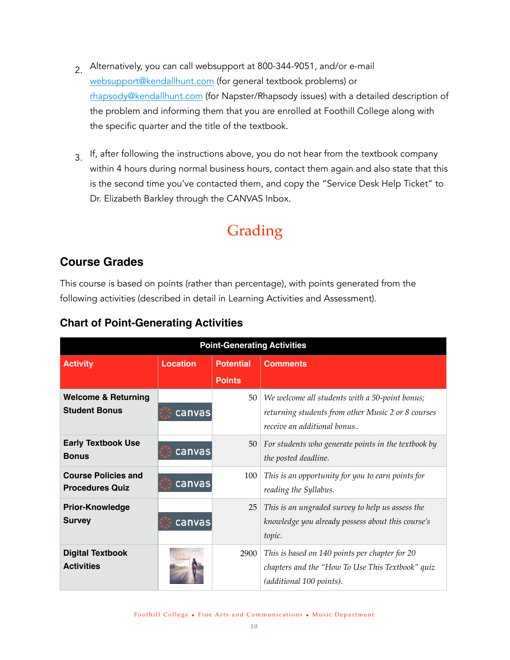- $2^{\circ}$  Alternatively, you can call websupport at 800-344-9051, and/or e-mail [websupport@kendallhunt.com](mailto:websupport@kendallhunt.com) (for general textbook problems) or [rhapsody@kendallhunt.com](mailto:rhapsody@kendallhunt.com) (for Napster/Rhapsody issues) with a detailed description of the problem and informing them that you are enrolled at Foothill College along with the specific quarter and the title of the textbook.
- $3<sub>1</sub>$  If, after following the instructions above, you do not hear from the textbook company within 4 hours during normal business hours, contact them again and also state that this is the second time you've contacted them, and copy the "Service Desk Help Ticket" to Dr. Elizabeth Barkley through the CANVAS Inbox.

# <span id="page-9-0"></span>Grading

## <span id="page-9-1"></span>**Course Grades**

This course is based on points (rather than percentage), with points generated from the following activities (described in detail in Learning Activities and Assessment).

| <b>Point-Generating Activities</b>                     |                 |                  |                                                                                                                                     |  |  |  |
|--------------------------------------------------------|-----------------|------------------|-------------------------------------------------------------------------------------------------------------------------------------|--|--|--|
| <b>Activity</b>                                        | <b>Location</b> | <b>Potential</b> | <b>Comments</b>                                                                                                                     |  |  |  |
|                                                        |                 | <b>Points</b>    |                                                                                                                                     |  |  |  |
| <b>Welcome &amp; Returning</b><br><b>Student Bonus</b> | canvas          | 50               | We welcome all students with a 50-point bonus;<br>returning students from other Music 2 or 8 courses<br>receive an additional bonus |  |  |  |
| <b>Early Textbook Use</b><br><b>Bonus</b>              | canvas          | $50-1$           | For students who generate points in the textbook by<br>the posted deadline.                                                         |  |  |  |
| <b>Course Policies and</b><br><b>Procedures Quiz</b>   | canvas          | 100              | This is an opportunity for you to earn points for<br>reading the Syllabus.                                                          |  |  |  |
| <b>Prior-Knowledge</b><br><b>Survey</b>                | canvas          | 25               | This is an ungraded survey to help us assess the<br>knowledge you already possess about this course's<br>topic.                     |  |  |  |
| <b>Digital Textbook</b><br><b>Activities</b>           | <b>Commod</b>   | 2900             | This is based on 140 points per chapter for 20<br>chapters and the "How To Use This Textbook" quiz<br>(additional 100 points).      |  |  |  |

#### **Chart of Point-Generating Activities**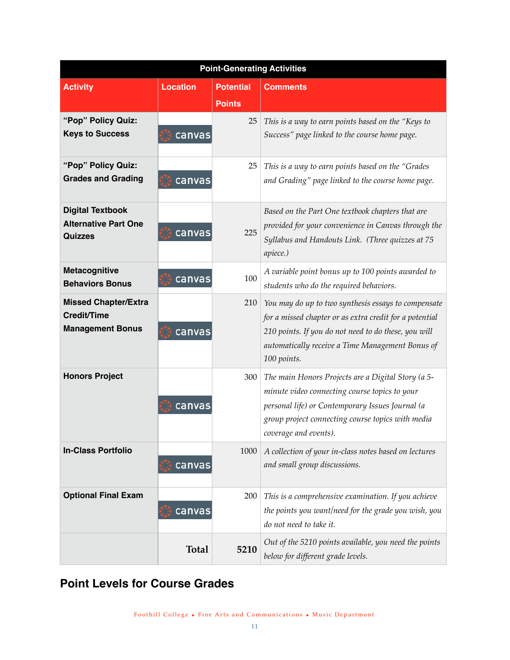| <b>Point-Generating Activities</b>                                       |                 |                  |                                                                                                                                                                                                                                           |  |  |  |
|--------------------------------------------------------------------------|-----------------|------------------|-------------------------------------------------------------------------------------------------------------------------------------------------------------------------------------------------------------------------------------------|--|--|--|
| <b>Activity</b>                                                          | <b>Location</b> | <b>Potential</b> | <b>Comments</b>                                                                                                                                                                                                                           |  |  |  |
|                                                                          |                 | <b>Points</b>    |                                                                                                                                                                                                                                           |  |  |  |
| "Pop" Policy Quiz:<br><b>Keys to Success</b>                             | canvas          | 25               | This is a way to earn points based on the "Keys to<br>Success" page linked to the course home page.                                                                                                                                       |  |  |  |
| "Pop" Policy Quiz:<br><b>Grades and Grading</b>                          | canvas          | 25               | This is a way to earn points based on the "Grades<br>and Grading" page linked to the course home page.                                                                                                                                    |  |  |  |
| <b>Digital Textbook</b><br><b>Alternative Part One</b><br><b>Quizzes</b> | canvas          | 225              | Based on the Part One textbook chapters that are<br>provided for your convenience in Canvas through the<br>Syllabus and Handouts Link. (Three quizzes at 75<br>apiece.)                                                                   |  |  |  |
| Metacognitive<br><b>Behaviors Bonus</b>                                  | canvas          | 100              | A variable point bonus up to 100 points awarded to<br>students who do the required behaviors.                                                                                                                                             |  |  |  |
| <b>Missed Chapter/Extra</b><br>Credit/Time<br><b>Management Bonus</b>    | canvas          | 210              | You may do up to two synthesis essays to compensate<br>for a missed chapter or as extra credit for a potential<br>210 points. If you do not need to do these, you will<br>automatically receive a Time Management Bonus of<br>100 points. |  |  |  |
| <b>Honors Project</b>                                                    | canvas          | 300              | The main Honors Projects are a Digital Story (a 5-<br>minute video connecting course topics to your<br>personal life) or Contemporary Issues Journal (a<br>group project connecting course topics with media<br>coverage and events).     |  |  |  |
| <b>In-Class Portfolio</b>                                                | canvas          | 1000             | A collection of your in-class notes based on lectures<br>and small group discussions.                                                                                                                                                     |  |  |  |
| <b>Optional Final Exam</b>                                               | canvas          | 200              | This is a comprehensive examination. If you achieve<br>the points you want/need for the grade you wish, you<br>do not need to take it.                                                                                                    |  |  |  |
|                                                                          | <b>Total</b>    | 5210             | Out of the 5210 points available, you need the points<br>below for different grade levels.                                                                                                                                                |  |  |  |

<span id="page-10-0"></span>**Point Levels for Course Grades**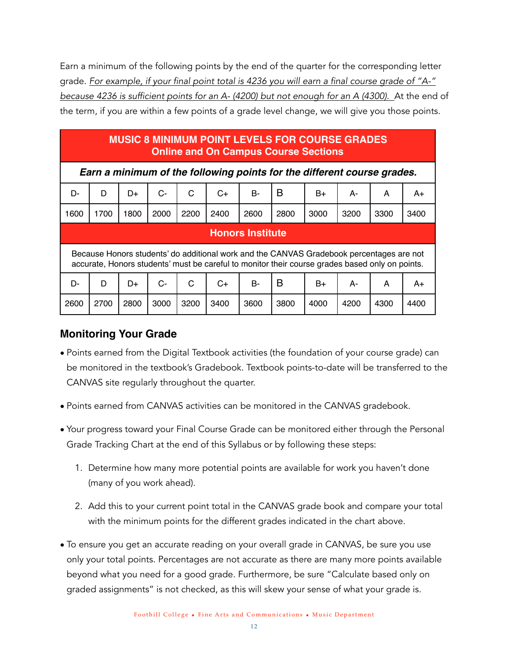Earn a minimum of the following points by the end of the quarter for the corresponding letter grade. *For example, if your final point total is 4236 you will earn a final course grade of "A-" because 4236 is sufficient points for an A- (4200) but not enough for an A (4300).* At the end of the term, if you are within a few points of a grade level change, we will give you those points.

#### **MUSIC 8 MINIMUM POINT LEVELS FOR COURSE GRADES Online and On Campus Course Sections**

*Earn a minimum of the following points for the different course grades.*

| D-                                                                                                                                                                                          | D                       | D+   | $C-$ | C    | C+   | <b>B-</b> | в    | B+   | А-   | A    | A+   |
|---------------------------------------------------------------------------------------------------------------------------------------------------------------------------------------------|-------------------------|------|------|------|------|-----------|------|------|------|------|------|
| 1600                                                                                                                                                                                        | 1700                    | 1800 | 2000 | 2200 | 2400 | 2600      | 2800 | 3000 | 3200 | 3300 | 3400 |
|                                                                                                                                                                                             | <b>Honors Institute</b> |      |      |      |      |           |      |      |      |      |      |
| Because Honors students' do additional work and the CANVAS Gradebook percentages are not<br>accurate, Honors students' must be careful to monitor their course grades based only on points. |                         |      |      |      |      |           |      |      |      |      |      |
| D-                                                                                                                                                                                          | D                       | D+   | $C-$ | C    | $C+$ | <b>B-</b> | B    | B+   | А-   | A    | A+   |
| 2600                                                                                                                                                                                        | 2700                    | 2800 | 3000 | 3200 | 3400 | 3600      | 3800 | 4000 | 4200 | 4300 | 4400 |

#### **Monitoring Your Grade**

- Points earned from the Digital Textbook activities (the foundation of your course grade) can be monitored in the textbook's Gradebook. Textbook points-to-date will be transferred to the CANVAS site regularly throughout the quarter.
- Points earned from CANVAS activities can be monitored in the CANVAS gradebook.
- Your progress toward your Final Course Grade can be monitored either through the Personal Grade Tracking Chart at the end of this Syllabus or by following these steps:
	- 1. Determine how many more potential points are available for work you haven't done (many of you work ahead).
	- 2. Add this to your current point total in the CANVAS grade book and compare your total with the minimum points for the different grades indicated in the chart above.
- To ensure you get an accurate reading on your overall grade in CANVAS, be sure you use only your total points. Percentages are not accurate as there are many more points available beyond what you need for a good grade. Furthermore, be sure "Calculate based only on graded assignments" is not checked, as this will skew your sense of what your grade is.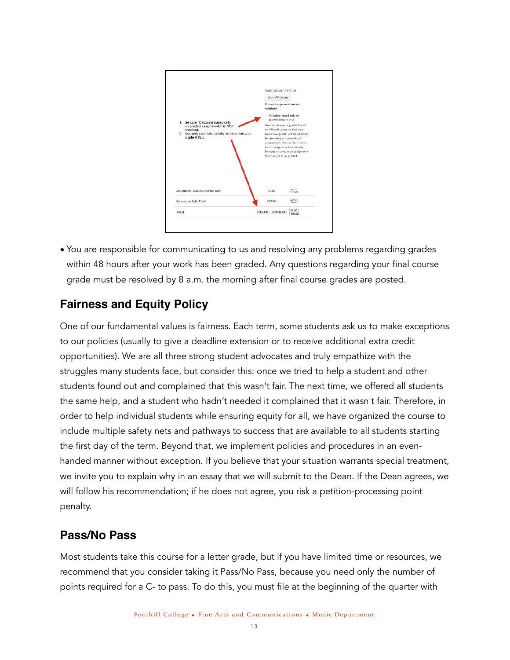

• You are responsible for communicating to us and resolving any problems regarding grades within 48 hours after your work has been graded. Any questions regarding your final course grade must be resolved by 8 a.m. the morning after final course grades are posted.

## <span id="page-12-0"></span>**Fairness and Equity Policy**

One of our fundamental values is fairness. Each term, some students ask us to make exceptions to our policies (usually to give a deadline extension or to receive additional extra credit opportunities). We are all three strong student advocates and truly empathize with the struggles many students face, but consider this: once we tried to help a student and other students found out and complained that this wasn't fair. The next time, we offered all students the same help, and a student who hadn't needed it complained that it wasn't fair. Therefore, in order to help individual students while ensuring equity for all, we have organized the course to include multiple safety nets and pathways to success that are available to all students starting the first day of the term. Beyond that, we implement policies and procedures in an evenhanded manner without exception. If you believe that your situation warrants special treatment, we invite you to explain why in an essay that we will submit to the Dean. If the Dean agrees, we will follow his recommendation; if he does not agree, you risk a petition-processing point penalty.

#### <span id="page-12-1"></span>**Pass/No Pass**

Most students take this course for a letter grade, but if you have limited time or resources, we recommend that you consider taking it Pass/No Pass, because you need only the number of points required for a C- to pass. To do this, you must file at the beginning of the quarter with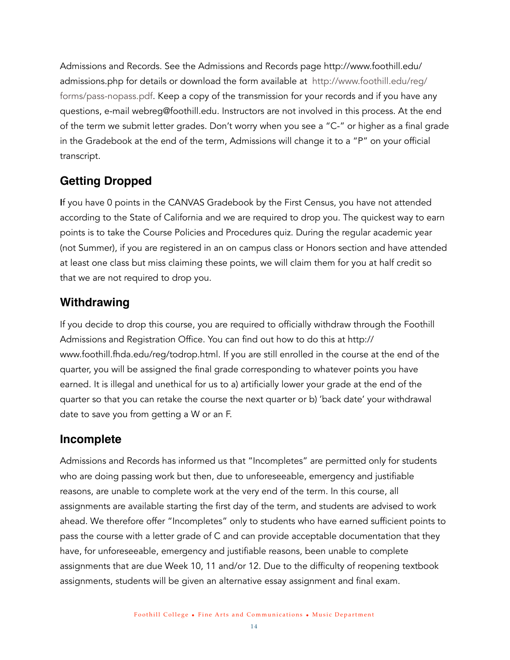Admissions and Records. See the Admissions and Records page [http://www.foothill.edu/](http://www.foothill.edu/admissions.php) [admissions.php](http://www.foothill.edu/admissions.php) for details or download the form available at [http://www.foothill.edu/reg/](http://www.foothill.edu/reg/forms/pass-nopass.pdf) [forms/pass-nopass.pdf](http://www.foothill.edu/reg/forms/pass-nopass.pdf). Keep a copy of the transmission for your records and if you have any questions, e-mail [webreg@foothill.edu](mailto:webreg@foothill.edu). Instructors are not involved in this process. At the end of the term we submit letter grades. Don't worry when you see a "C-" or higher as a final grade in the Gradebook at the end of the term, Admissions will change it to a "P" on your official transcript.

## <span id="page-13-0"></span>**Getting Dropped**

If you have 0 points in the CANVAS Gradebook by the First Census, you have not attended according to the State of California and we are required to drop you. The quickest way to earn points is to take the Course Policies and Procedures quiz. During the regular academic year (not Summer), if you are registered in an on campus class or Honors section and have attended at least one class but miss claiming these points, we will claim them for you at half credit so that we are not required to drop you.

#### <span id="page-13-1"></span>**Withdrawing**

If you decide to drop this course, you are required to officially withdraw through the Foothill Admissions and Registration Office. You can find out how to do this at [http://](http://www.foothill.fhda.edu/reg/todrop.html) [www.foothill.fhda.edu/reg/todrop.html](http://www.foothill.fhda.edu/reg/todrop.html). If you are still enrolled in the course at the end of the quarter, you will be assigned the final grade corresponding to whatever points you have earned. It is illegal and unethical for us to a) artificially lower your grade at the end of the quarter so that you can retake the course the next quarter or b) 'back date' your withdrawal date to save you from getting a W or an F.

#### <span id="page-13-2"></span>**Incomplete**

Admissions and Records has informed us that "Incompletes" are permitted only for students who are doing passing work but then, due to unforeseeable, emergency and justifiable reasons, are unable to complete work at the very end of the term. In this course, all assignments are available starting the first day of the term, and students are advised to work ahead. We therefore offer "Incompletes" only to students who have earned sufficient points to pass the course with a letter grade of C and can provide acceptable documentation that they have, for unforeseeable, emergency and justifiable reasons, been unable to complete assignments that are due Week 10, 11 and/or 12. Due to the difficulty of reopening textbook assignments, students will be given an alternative essay assignment and final exam.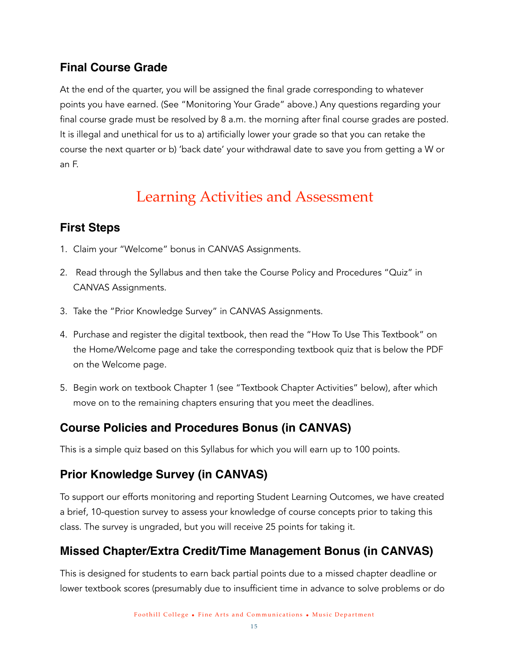## <span id="page-14-0"></span>**Final Course Grade**

At the end of the quarter, you will be assigned the final grade corresponding to whatever points you have earned. (See "Monitoring Your Grade" above.) Any questions regarding your final course grade must be resolved by 8 a.m. the morning after final course grades are posted. It is illegal and unethical for us to a) artificially lower your grade so that you can retake the course the next quarter or b) 'back date' your withdrawal date to save you from getting a W or an F.

# <span id="page-14-1"></span>Learning Activities and Assessment

# <span id="page-14-2"></span>**First Steps**

- 1. Claim your "Welcome" bonus in CANVAS Assignments.
- 2. Read through the Syllabus and then take the Course Policy and Procedures "Quiz" in CANVAS Assignments.
- 3. Take the "Prior Knowledge Survey" in CANVAS Assignments.
- 4. Purchase and register the digital textbook, then read the "How To Use This Textbook" on the Home/Welcome page and take the corresponding textbook quiz that is below the PDF on the Welcome page.
- 5. Begin work on textbook Chapter 1 (see "Textbook Chapter Activities" below), after which move on to the remaining chapters ensuring that you meet the deadlines.

## <span id="page-14-3"></span>**Course Policies and Procedures Bonus (in CANVAS)**

This is a simple quiz based on this Syllabus for which you will earn up to 100 points.

# <span id="page-14-4"></span>**Prior Knowledge Survey (in CANVAS)**

To support our efforts monitoring and reporting Student Learning Outcomes, we have created a brief, 10-question survey to assess your knowledge of course concepts prior to taking this class. The survey is ungraded, but you will receive 25 points for taking it.

# <span id="page-14-5"></span>**Missed Chapter/Extra Credit/Time Management Bonus (in CANVAS)**

This is designed for students to earn back partial points due to a missed chapter deadline or lower textbook scores (presumably due to insufficient time in advance to solve problems or do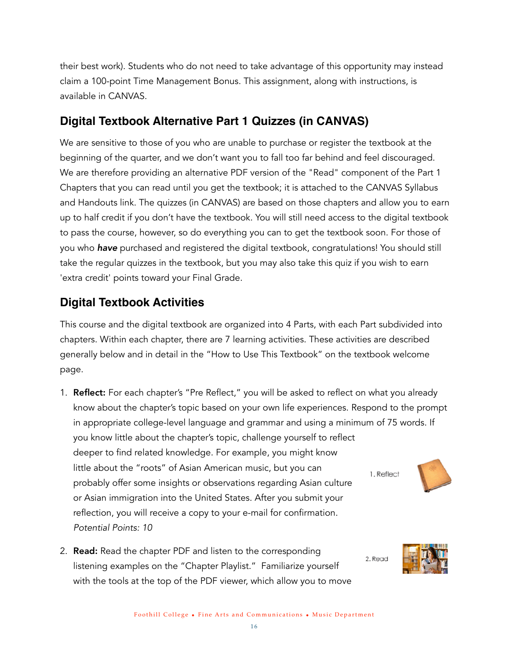their best work). Students who do not need to take advantage of this opportunity may instead claim a 100-point Time Management Bonus. This assignment, along with instructions, is available in CANVAS.

## <span id="page-15-0"></span>**Digital Textbook Alternative Part 1 Quizzes (in CANVAS)**

We are sensitive to those of you who are unable to purchase or register the textbook at the beginning of the quarter, and we don't want you to fall too far behind and feel discouraged. We are therefore providing an alternative PDF version of the "Read" component of the Part 1 Chapters that you can read until you get the textbook; it is attached to the CANVAS Syllabus and Handouts link. The quizzes (in CANVAS) are based on those chapters and allow you to earn up to half credit if you don't have the textbook. You will still need access to the digital textbook to pass the course, however, so do everything you can to get the textbook soon. For those of you who *have* purchased and registered the digital textbook, congratulations! You should still take the regular quizzes in the textbook, but you may also take this quiz if you wish to earn 'extra credit' points toward your Final Grade.

## <span id="page-15-1"></span>**Digital Textbook Activities**

This course and the digital textbook are organized into 4 Parts, with each Part subdivided into chapters. Within each chapter, there are 7 learning activities. These activities are described generally below and in detail in the "How to Use This Textbook" on the textbook welcome page.

- 1. **Reflect:** For each chapter's "Pre Reflect," you will be asked to reflect on what you already know about the chapter's topic based on your own life experiences. Respond to the prompt in appropriate college-level language and grammar and using a minimum of 75 words. If you know little about the chapter's topic, challenge yourself to reflect deeper to find related knowledge. For example, you might know little about the "roots" of Asian American music, but you can 1. Reflect probably offer some insights or observations regarding Asian culture or Asian immigration into the United States. After you submit your reflection, you will receive a copy to your e-mail for confirmation. *Potential Points: 10*
- 2. **Read:** Read the chapter PDF and listen to the corresponding listening examples on the "Chapter Playlist." Familiarize yourself with the tools at the top of the PDF viewer, which allow you to move



2. Read

Foothill College • Fine Arts and Communications • Music Department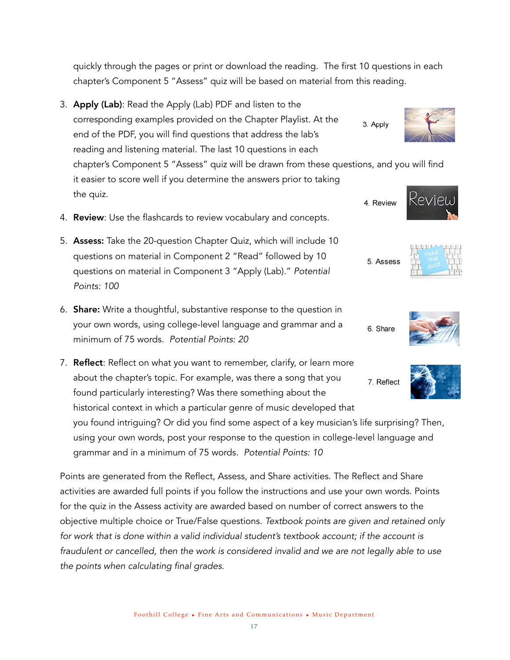quickly through the pages or print or download the reading. The first 10 questions in each chapter's Component 5 "Assess" quiz will be based on material from this reading.

- 3. Apply (Lab): Read the Apply (Lab) PDF and listen to the corresponding examples provided on the Chapter Playlist. At the 3. Apply end of the PDF, you will find questions that address the lab's reading and listening material. The last 10 questions in each chapter's Component 5 "Assess" quiz will be drawn from these questions, and you will find it easier to score well if you determine the answers prior to taking the quiz. 4. Review
- 4. Review: Use the flashcards to review vocabulary and concepts.
- 5. Assess: Take the 20-question Chapter Quiz, which will include 10 questions on material in Component 2 "Read" followed by 10 questions on material in Component 3 "Apply (Lab)." *Potential Points: 100*
- 6. Share: Write a thoughtful, substantive response to the question in your own words, using college-level language and grammar and a minimum of 75 words. *Potential Points: 20*
- 7. Reflect: Reflect on what you want to remember, clarify, or learn more about the chapter's topic. For example, was there a song that you 7. Reflect found particularly interesting? Was there something about the historical context in which a particular genre of music developed that you found intriguing? Or did you find some aspect of a key musician's life surprising? Then,

using your own words, post your response to the question in college-level language and grammar and in a minimum of 75 words*. Potential Points: 10*

Points are generated from the Reflect, Assess, and Share activities. The Reflect and Share activities are awarded full points if you follow the instructions and use your own words. Points for the quiz in the Assess activity are awarded based on number of correct answers to the objective multiple choice or True/False questions. *Textbook points are given and retained only for work that is done within a valid individual student's textbook account; if the account is fraudulent or cancelled, then the work is considered invalid and we are not legally able to use the points when calculating final grades.*

5. Assess

6. Share





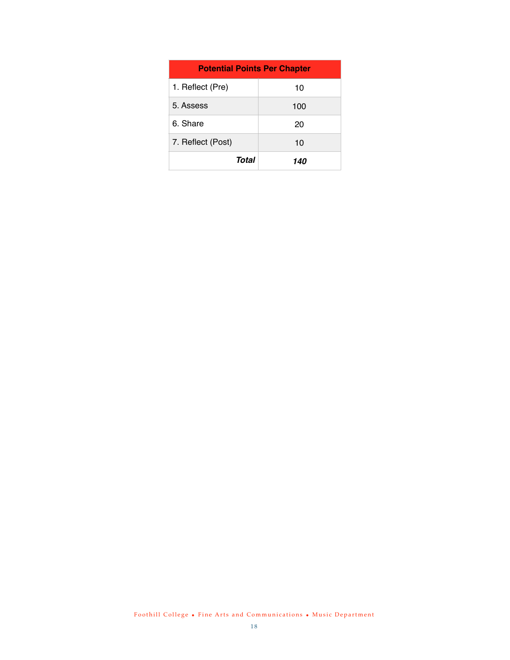| <b>Potential Points Per Chapter</b> |     |  |  |
|-------------------------------------|-----|--|--|
| 1. Reflect (Pre)                    | 10  |  |  |
| 5. Assess                           | 100 |  |  |
| 6. Share                            | 20  |  |  |
| 7. Reflect (Post)                   | 10  |  |  |
| Total                               | 140 |  |  |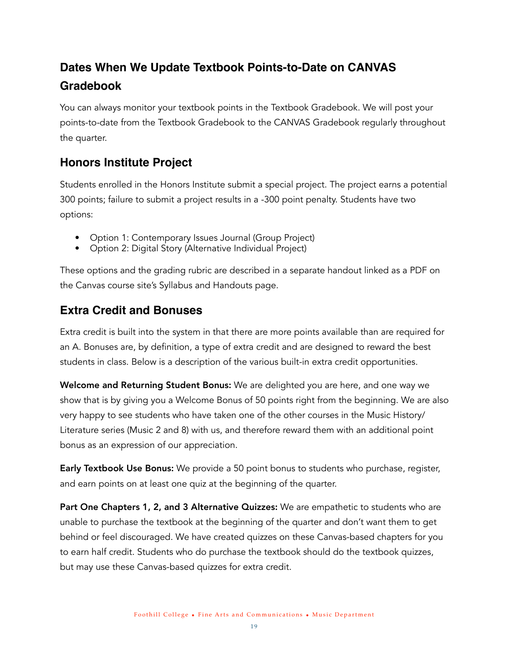# <span id="page-18-0"></span>**Dates When We Update Textbook Points-to-Date on CANVAS Gradebook**

You can always monitor your textbook points in the Textbook Gradebook. We will post your points-to-date from the Textbook Gradebook to the CANVAS Gradebook regularly throughout the quarter.

#### <span id="page-18-1"></span>**Honors Institute Project**

Students enrolled in the Honors Institute submit a special project. The project earns a potential 300 points; failure to submit a project results in a -300 point penalty. Students have two options:

- Option 1: Contemporary Issues Journal (Group Project)
- Option 2: Digital Story (Alternative Individual Project)

These options and the grading rubric are described in a separate handout linked as a PDF on the Canvas course site's Syllabus and Handouts page.

## <span id="page-18-2"></span>**Extra Credit and Bonuses**

Extra credit is built into the system in that there are more points available than are required for an A. Bonuses are, by definition, a type of extra credit and are designed to reward the best students in class. Below is a description of the various built-in extra credit opportunities.

Welcome and Returning Student Bonus: We are delighted you are here, and one way we show that is by giving you a Welcome Bonus of 50 points right from the beginning. We are also very happy to see students who have taken one of the other courses in the Music History/ Literature series (Music 2 and 8) with us, and therefore reward them with an additional point bonus as an expression of our appreciation.

**Early Textbook Use Bonus:** We provide a 50 point bonus to students who purchase, register, and earn points on at least one quiz at the beginning of the quarter.

Part One Chapters 1, 2, and 3 Alternative Quizzes: We are empathetic to students who are unable to purchase the textbook at the beginning of the quarter and don't want them to get behind or feel discouraged. We have created quizzes on these Canvas-based chapters for you to earn half credit. Students who do purchase the textbook should do the textbook quizzes, but may use these Canvas-based quizzes for extra credit.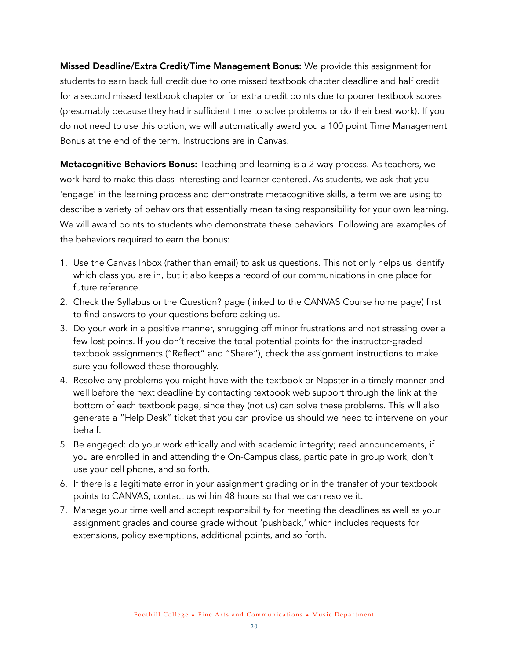Missed Deadline/Extra Credit/Time Management Bonus: We provide this assignment for students to earn back full credit due to one missed textbook chapter deadline and half credit for a second missed textbook chapter or for extra credit points due to poorer textbook scores (presumably because they had insufficient time to solve problems or do their best work). If you do not need to use this option, we will automatically award you a 100 point Time Management Bonus at the end of the term. Instructions are in Canvas.

Metacognitive Behaviors Bonus: Teaching and learning is a 2-way process. As teachers, we work hard to make this class interesting and learner-centered. As students, we ask that you 'engage' in the learning process and demonstrate metacognitive skills, a term we are using to describe a variety of behaviors that essentially mean taking responsibility for your own learning. We will award points to students who demonstrate these behaviors. Following are examples of the behaviors required to earn the bonus:

- 1. Use the Canvas Inbox (rather than email) to ask us questions. This not only helps us identify which class you are in, but it also keeps a record of our communications in one place for future reference.
- 2. Check the Syllabus or the Question? page (linked to the CANVAS Course home page) first to find answers to your questions before asking us.
- 3. Do your work in a positive manner, shrugging off minor frustrations and not stressing over a few lost points. If you don't receive the total potential points for the instructor-graded textbook assignments ("Reflect" and "Share"), check the assignment instructions to make sure you followed these thoroughly.
- 4. Resolve any problems you might have with the textbook or Napster in a timely manner and well before the next deadline by contacting textbook web support through the link at the bottom of each textbook page, since they (not us) can solve these problems. This will also generate a "Help Desk" ticket that you can provide us should we need to intervene on your behalf.
- 5. Be engaged: do your work ethically and with academic integrity; read announcements, if you are enrolled in and attending the On-Campus class, participate in group work, don't use your cell phone, and so forth.
- 6. If there is a legitimate error in your assignment grading or in the transfer of your textbook points to CANVAS, contact us within 48 hours so that we can resolve it.
- 7. Manage your time well and accept responsibility for meeting the deadlines as well as your assignment grades and course grade without 'pushback,' which includes requests for extensions, policy exemptions, additional points, and so forth.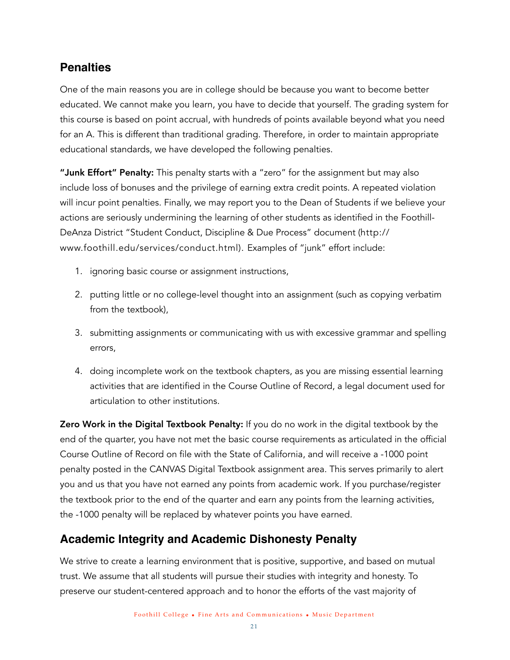#### <span id="page-20-0"></span>**Penalties**

One of the main reasons you are in college should be because you want to become better educated. We cannot make you learn, you have to decide that yourself. The grading system for this course is based on point accrual, with hundreds of points available beyond what you need for an A. This is different than traditional grading. Therefore, in order to maintain appropriate educational standards, we have developed the following penalties.

"Junk Effort" Penalty: This penalty starts with a "zero" for the assignment but may also include loss of bonuses and the privilege of earning extra credit points. A repeated violation will incur point penalties. Finally, we may report you to the Dean of Students if we believe your actions are seriously undermining the learning of other students as identified in the Foothill-DeAnza District "Student Conduct, Discipline & Due Process" document ([http://](http://www.foothill.edu/services/conduct.html) [www.foothill.edu/services/conduct.html](http://www.foothill.edu/services/conduct.html)). Examples of "junk" effort include:

- 1. ignoring basic course or assignment instructions,
- 2. putting little or no college-level thought into an assignment (such as copying verbatim from the textbook),
- 3. submitting assignments or communicating with us with excessive grammar and spelling errors,
- 4. doing incomplete work on the textbook chapters, as you are missing essential learning activities that are identified in the Course Outline of Record, a legal document used for articulation to other institutions.

**Zero Work in the Digital Textbook Penalty:** If you do no work in the digital textbook by the end of the quarter, you have not met the basic course requirements as articulated in the official Course Outline of Record on file with the State of California, and will receive a -1000 point penalty posted in the CANVAS Digital Textbook assignment area. This serves primarily to alert you and us that you have not earned any points from academic work. If you purchase/register the textbook prior to the end of the quarter and earn any points from the learning activities, the -1000 penalty will be replaced by whatever points you have earned.

## <span id="page-20-1"></span>**Academic Integrity and Academic Dishonesty Penalty**

We strive to create a learning environment that is positive, supportive, and based on mutual trust. We assume that all students will pursue their studies with integrity and honesty. To preserve our student-centered approach and to honor the efforts of the vast majority of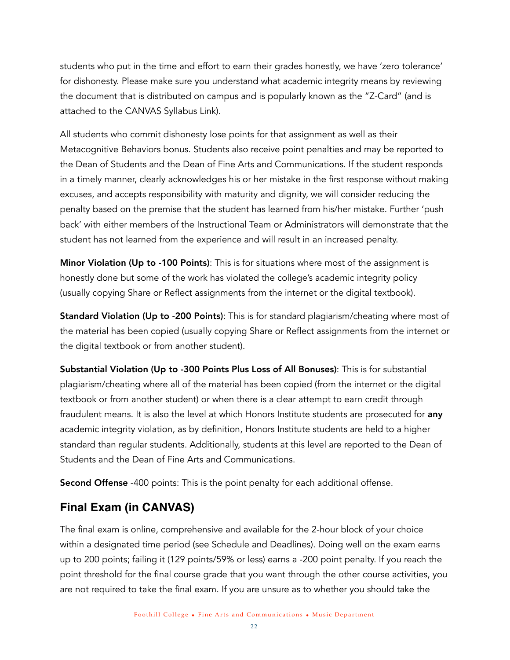students who put in the time and effort to earn their grades honestly, we have 'zero tolerance' for dishonesty. Please make sure you understand what academic integrity means by reviewing the document that is distributed on campus and is popularly known as the "Z-Card" (and is attached to the CANVAS Syllabus Link).

All students who commit dishonesty lose points for that assignment as well as their Metacognitive Behaviors bonus. Students also receive point penalties and may be reported to the Dean of Students and the Dean of Fine Arts and Communications. If the student responds in a timely manner, clearly acknowledges his or her mistake in the first response without making excuses, and accepts responsibility with maturity and dignity, we will consider reducing the penalty based on the premise that the student has learned from his/her mistake. Further 'push back' with either members of the Instructional Team or Administrators will demonstrate that the student has not learned from the experience and will result in an increased penalty.

Minor Violation (Up to -100 Points): This is for situations where most of the assignment is honestly done but some of the work has violated the college's academic integrity policy (usually copying Share or Reflect assignments from the internet or the digital textbook).

**Standard Violation (Up to -200 Points):** This is for standard plagiarism/cheating where most of the material has been copied (usually copying Share or Reflect assignments from the internet or the digital textbook or from another student).

Substantial Violation (Up to -300 Points Plus Loss of All Bonuses): This is for substantial plagiarism/cheating where all of the material has been copied (from the internet or the digital textbook or from another student) or when there is a clear attempt to earn credit through fraudulent means. It is also the level at which Honors Institute students are prosecuted for any academic integrity violation, as by definition, Honors Institute students are held to a higher standard than regular students. Additionally, students at this level are reported to the Dean of Students and the Dean of Fine Arts and Communications.

Second Offense -400 points: This is the point penalty for each additional offense.

## <span id="page-21-0"></span>**Final Exam (in CANVAS)**

The final exam is online, comprehensive and available for the 2-hour block of your choice within a designated time period (see Schedule and Deadlines). Doing well on the exam earns up to 200 points; failing it (129 points/59% or less) earns a -200 point penalty. If you reach the point threshold for the final course grade that you want through the other course activities, you are not required to take the final exam. If you are unsure as to whether you should take the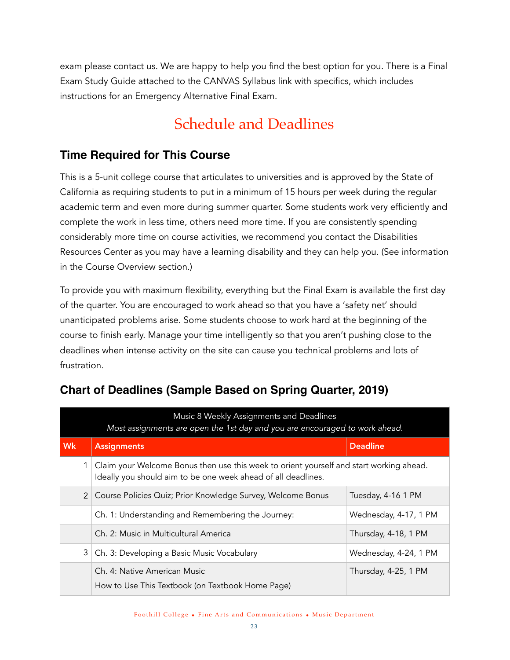exam please contact us. We are happy to help you find the best option for you. There is a Final Exam Study Guide attached to the CANVAS Syllabus link with specifics, which includes instructions for an Emergency Alternative Final Exam.

# <span id="page-22-0"></span>Schedule and Deadlines

#### <span id="page-22-1"></span>**Time Required for This Course**

This is a 5-unit college course that articulates to universities and is approved by the State of California as requiring students to put in a minimum of 15 hours per week during the regular academic term and even more during summer quarter. Some students work very efficiently and complete the work in less time, others need more time. If you are consistently spending considerably more time on course activities, we recommend you contact the Disabilities Resources Center as you may have a learning disability and they can help you. (See information in the Course Overview section.)

To provide you with maximum flexibility, everything but the Final Exam is available the first day of the quarter. You are encouraged to work ahead so that you have a 'safety net' should unanticipated problems arise. Some students choose to work hard at the beginning of the course to finish early. Manage your time intelligently so that you aren't pushing close to the deadlines when intense activity on the site can cause you technical problems and lots of frustration.

| Music 8 Weekly Assignments and Deadlines<br>Most assignments are open the 1st day and you are encouraged to work ahead. |                                                                                                                                                          |                                                                                  |                       |  |  |
|-------------------------------------------------------------------------------------------------------------------------|----------------------------------------------------------------------------------------------------------------------------------------------------------|----------------------------------------------------------------------------------|-----------------------|--|--|
| Wk                                                                                                                      |                                                                                                                                                          | <b>Assignments</b>                                                               | <b>Deadline</b>       |  |  |
|                                                                                                                         | Claim your Welcome Bonus then use this week to orient yourself and start working ahead.<br>Ideally you should aim to be one week ahead of all deadlines. |                                                                                  |                       |  |  |
|                                                                                                                         |                                                                                                                                                          | 2 Course Policies Quiz; Prior Knowledge Survey, Welcome Bonus                    | Tuesday, 4-16 1 PM    |  |  |
|                                                                                                                         |                                                                                                                                                          | Ch. 1: Understanding and Remembering the Journey:                                | Wednesday, 4-17, 1 PM |  |  |
|                                                                                                                         |                                                                                                                                                          | Ch. 2: Music in Multicultural America                                            | Thursday, 4-18, 1 PM  |  |  |
|                                                                                                                         |                                                                                                                                                          | 3   Ch. 3: Developing a Basic Music Vocabulary                                   | Wednesday, 4-24, 1 PM |  |  |
|                                                                                                                         |                                                                                                                                                          | Ch. 4: Native American Music<br>How to Use This Textbook (on Textbook Home Page) | Thursday, 4-25, 1 PM  |  |  |

# <span id="page-22-2"></span>**Chart of Deadlines (Sample Based on Spring Quarter, 2019)**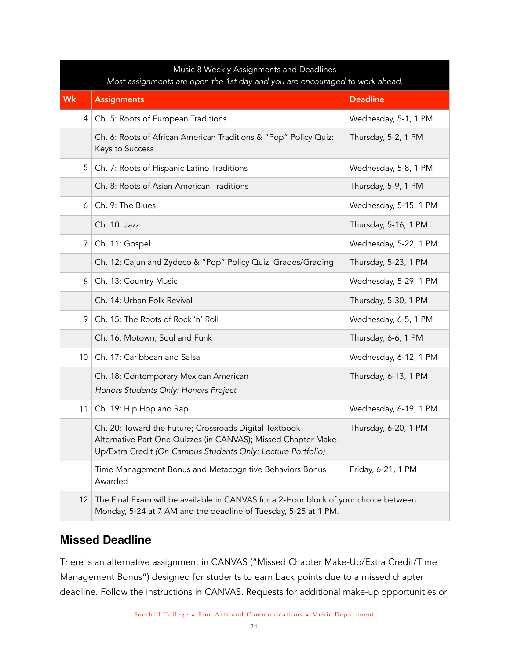|                 | Music 8 Weekly Assignments and Deadlines<br>Most assignments are open the 1st day and you are encouraged to work ahead.                                                                  |                       |  |  |  |  |  |
|-----------------|------------------------------------------------------------------------------------------------------------------------------------------------------------------------------------------|-----------------------|--|--|--|--|--|
| Wk              | <b>Assignments</b>                                                                                                                                                                       | <b>Deadline</b>       |  |  |  |  |  |
|                 | 4   Ch. 5: Roots of European Traditions                                                                                                                                                  | Wednesday, 5-1, 1 PM  |  |  |  |  |  |
|                 | Ch. 6: Roots of African American Traditions & "Pop" Policy Quiz:<br>Keys to Success                                                                                                      | Thursday, 5-2, 1 PM   |  |  |  |  |  |
| 5               | Ch. 7: Roots of Hispanic Latino Traditions                                                                                                                                               | Wednesday, 5-8, 1 PM  |  |  |  |  |  |
|                 | Ch. 8: Roots of Asian American Traditions                                                                                                                                                | Thursday, 5-9, 1 PM   |  |  |  |  |  |
| 6               | Ch. 9: The Blues                                                                                                                                                                         | Wednesday, 5-15, 1 PM |  |  |  |  |  |
|                 | Ch. 10: Jazz                                                                                                                                                                             | Thursday, 5-16, 1 PM  |  |  |  |  |  |
| 7               | Ch. 11: Gospel                                                                                                                                                                           | Wednesday, 5-22, 1 PM |  |  |  |  |  |
|                 | Ch. 12: Cajun and Zydeco & "Pop" Policy Quiz: Grades/Grading                                                                                                                             | Thursday, 5-23, 1 PM  |  |  |  |  |  |
| 8               | Ch. 13: Country Music                                                                                                                                                                    | Wednesday, 5-29, 1 PM |  |  |  |  |  |
|                 | Ch. 14: Urban Folk Revival                                                                                                                                                               | Thursday, 5-30, 1 PM  |  |  |  |  |  |
| 9               | Ch. 15: The Roots of Rock 'n' Roll                                                                                                                                                       | Wednesday, 6-5, 1 PM  |  |  |  |  |  |
|                 | Ch. 16: Motown, Soul and Funk                                                                                                                                                            | Thursday, 6-6, 1 PM   |  |  |  |  |  |
| 10 <sup>°</sup> | Ch. 17: Caribbean and Salsa                                                                                                                                                              | Wednesday, 6-12, 1 PM |  |  |  |  |  |
|                 | Ch. 18: Contemporary Mexican American<br>Honors Students Only: Honors Project                                                                                                            | Thursday, 6-13, 1 PM  |  |  |  |  |  |
| 11              | Ch. 19: Hip Hop and Rap                                                                                                                                                                  | Wednesday, 6-19, 1 PM |  |  |  |  |  |
|                 | Ch. 20: Toward the Future; Crossroads Digital Textbook<br>Alternative Part One Quizzes (in CANVAS); Missed Chapter Make-<br>Up/Extra Credit (On Campus Students Only: Lecture Portfolio) | Thursday, 6-20, 1 PM  |  |  |  |  |  |
|                 | Time Management Bonus and Metacognitive Behaviors Bonus<br>Awarded                                                                                                                       | Friday, 6-21, 1 PM    |  |  |  |  |  |
| 12              | The Final Exam will be available in CANVAS for a 2-Hour block of your choice between<br>Monday, 5-24 at 7 AM and the deadline of Tuesday, 5-25 at 1 PM.                                  |                       |  |  |  |  |  |

## <span id="page-23-0"></span>**Missed Deadline**

There is an alternative assignment in CANVAS ("Missed Chapter Make-Up/Extra Credit/Time Management Bonus") designed for students to earn back points due to a missed chapter deadline. Follow the instructions in CANVAS. Requests for additional make-up opportunities or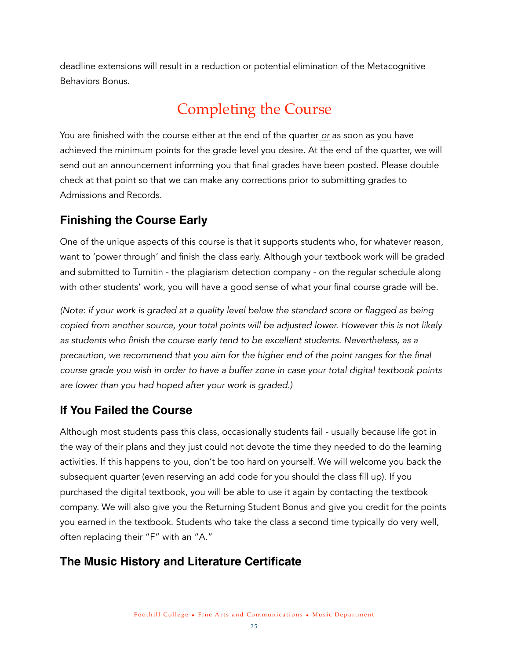deadline extensions will result in a reduction or potential elimination of the Metacognitive Behaviors Bonus.

# <span id="page-24-0"></span>Completing the Course

You are finished with the course either at the end of the quarter *or* as soon as you have achieved the minimum points for the grade level you desire. At the end of the quarter, we will send out an announcement informing you that final grades have been posted. Please double check at that point so that we can make any corrections prior to submitting grades to Admissions and Records.

#### <span id="page-24-1"></span>**Finishing the Course Early**

One of the unique aspects of this course is that it supports students who, for whatever reason, want to 'power through' and finish the class early. Although your textbook work will be graded and submitted to Turnitin - the plagiarism detection company - on the regular schedule along with other students' work, you will have a good sense of what your final course grade will be.

*(Note: if your work is graded at a quality level below the standard score or flagged as being copied from another source, your total points will be adjusted lower. However this is not likely as students who finish the course early tend to be excellent students. Nevertheless, as a precaution, we recommend that you aim for the higher end of the point ranges for the final course grade you wish in order to have a buffer zone in case your total digital textbook points are lower than you had hoped after your work is graded.)*

## <span id="page-24-2"></span>**If You Failed the Course**

Although most students pass this class, occasionally students fail - usually because life got in the way of their plans and they just could not devote the time they needed to do the learning activities. If this happens to you, don't be too hard on yourself. We will welcome you back the subsequent quarter (even reserving an add code for you should the class fill up). If you purchased the digital textbook, you will be able to use it again by contacting the textbook company. We will also give you the Returning Student Bonus and give you credit for the points you earned in the textbook. Students who take the class a second time typically do very well, often replacing their "F" with an "A."

## <span id="page-24-3"></span>**The Music History and Literature Certificate**